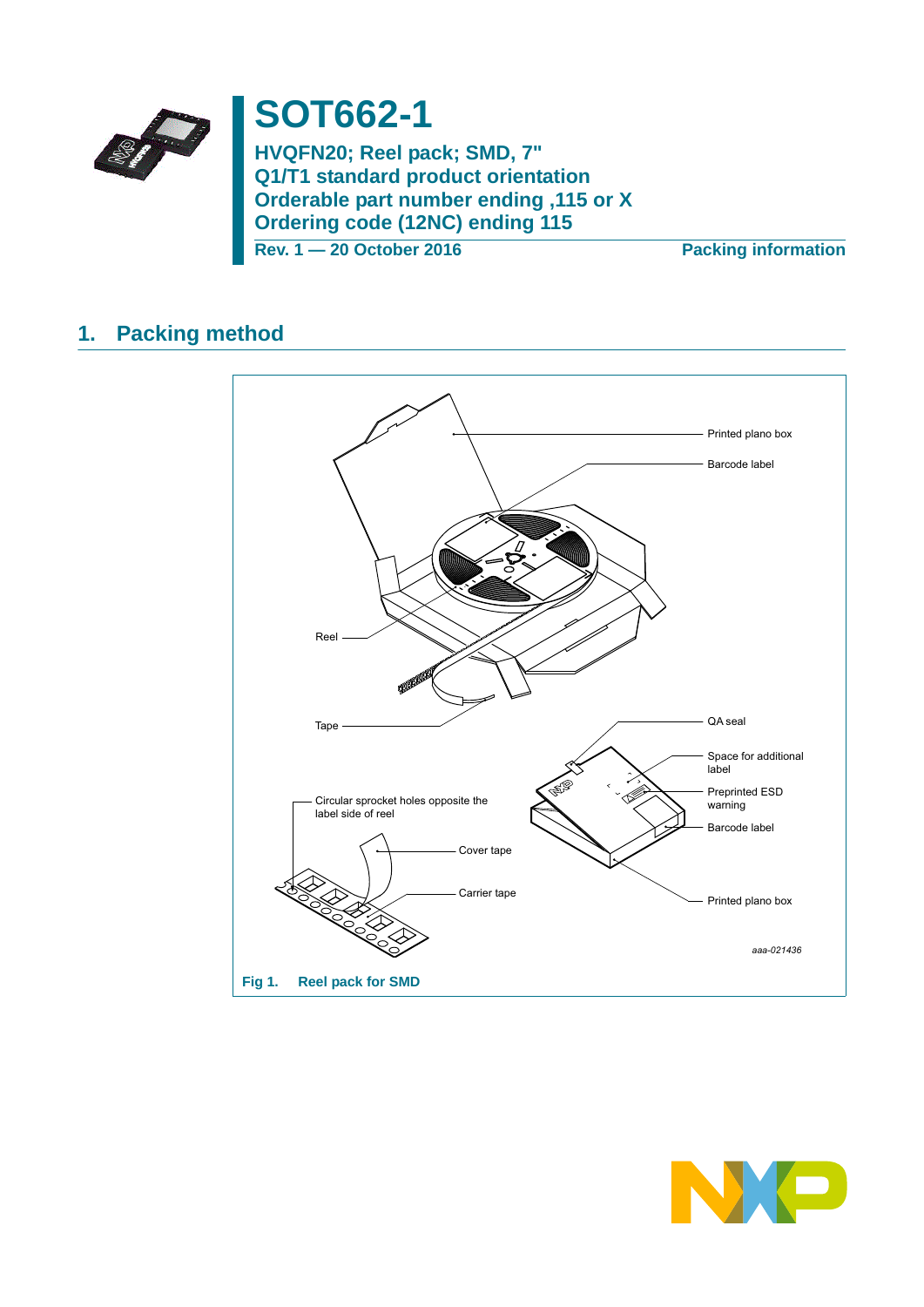

# **SOT662-1**

**HVQFN20; Reel pack; SMD, 7" Q1/T1 standard product orientation Orderable part number ending ,115 or X Ordering code (12NC) ending 115**

**Rev. 1 — 20 October 2016 Packing information**

## **1. Packing method**



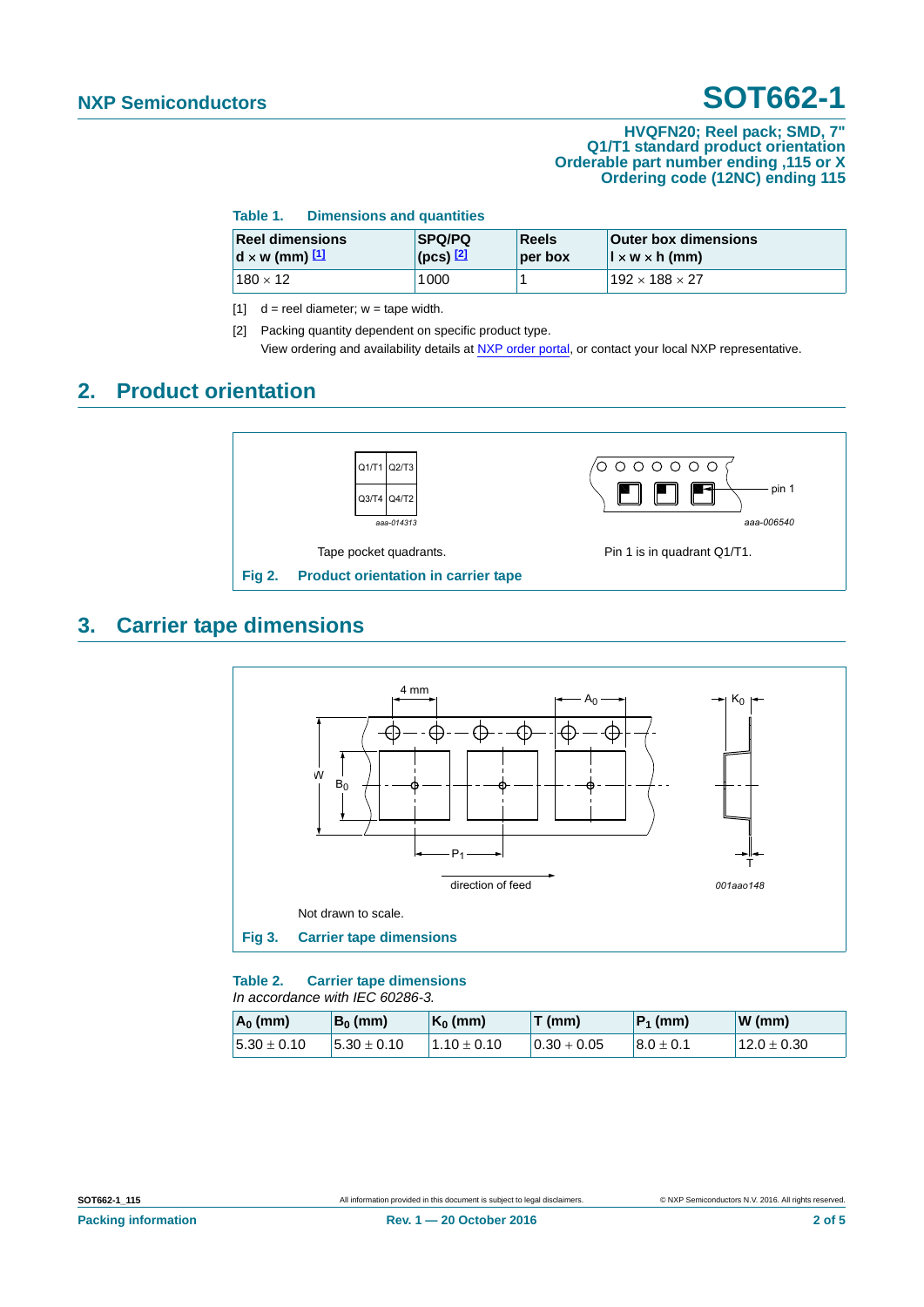#### **HVQFN20; Reel pack; SMD, 7" Q1/T1 standard product orientation Orderable part number ending ,115 or X Ordering code (12NC) ending 115**

| Table 1. | <b>Dimensions and quantities</b> |  |
|----------|----------------------------------|--|
|----------|----------------------------------|--|

| <b>Reel dimensions</b> | <b>SPQ/PQ</b>     | Reels   | <b>Outer box dimensions</b>            |
|------------------------|-------------------|---------|----------------------------------------|
| $d \times w$ (mm) $11$ | $($ pcs $)$ $[2]$ | per box | $\vert x \vert \times w \times h$ (mm) |
| $180 \times 12$        | 1000              |         | $192 \times 188 \times 27$             |

 $[1]$  d = reel diameter; w = tape width.

[2] Packing quantity dependent on specific product type. View ordering and availability details at [NXP order portal](http://www.nxp.com/order-portal/), or contact your local NXP representative.

### **2. Product orientation**



## **3. Carrier tape dimensions**



#### **Table 2. Carrier tape dimensions** *In accordance with IEC 60286-3.*

| $A_0$ (mm)       | $B_0$ (mm)      | $K_0$ (mm)    | $T$ (mm)       | $ P_1$ (mm)    | $W$ (mm)        |
|------------------|-----------------|---------------|----------------|----------------|-----------------|
| $15.30 \pm 0.10$ | $5.30 \pm 0.10$ | $1.10\pm0.10$ | $10.30 + 0.05$ | $18.0 \pm 0.1$ | $12.0 \pm 0.30$ |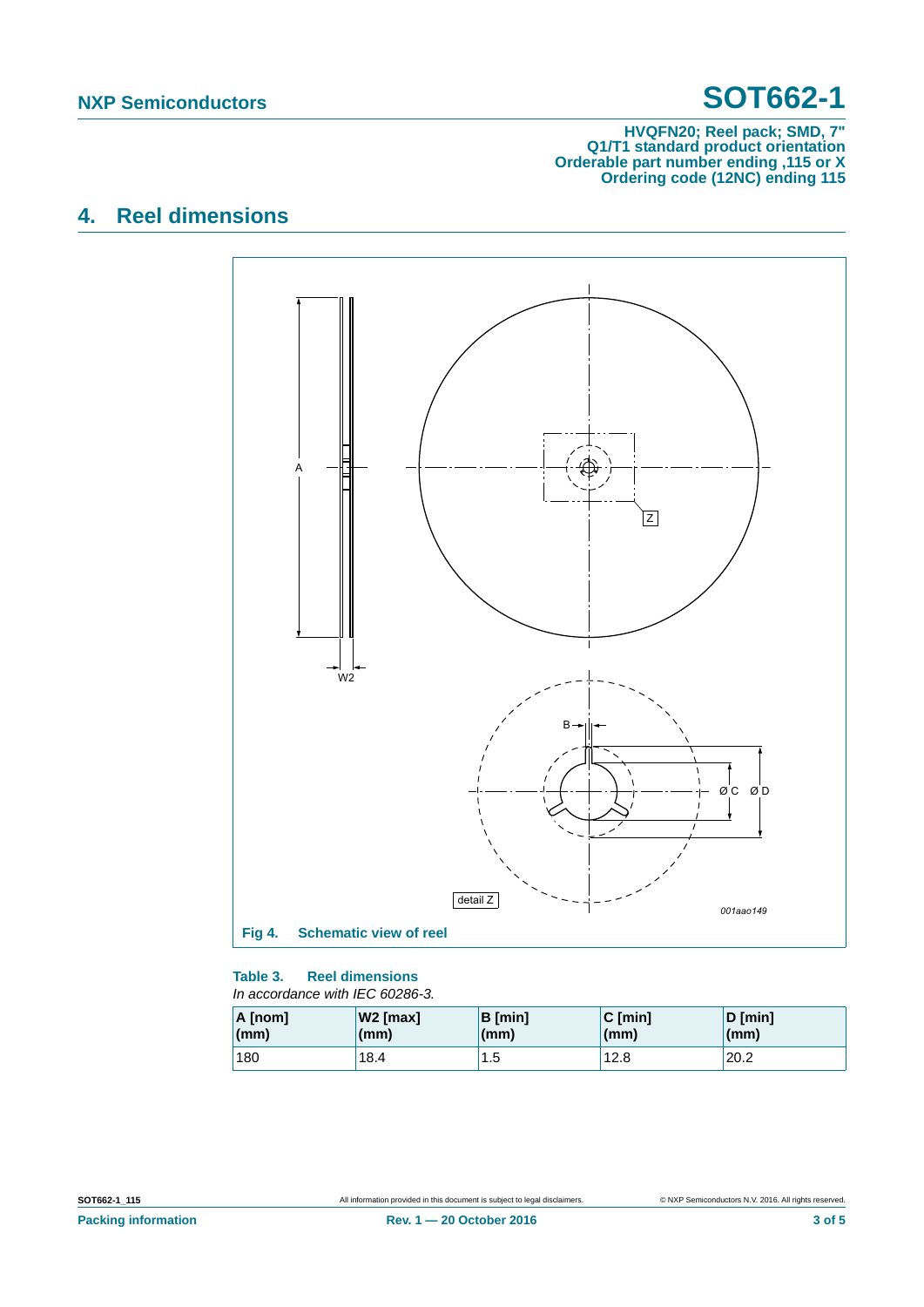#### **HVQFN20; Reel pack; SMD, 7" Q1/T1 standard product orientation Orderable part number ending ,115 or X Ordering code (12NC) ending 115**

## **4. Reel dimensions**





| A [nom] | W <sub>2</sub> [max] | <b>B</b> [min] | $C$ [min] | D [min]      |
|---------|----------------------|----------------|-----------|--------------|
| (mm)    | (mm)                 | (mm)           | (mm)      | $\mathsf{m}$ |
| 180     | 18.4                 | 1.5            | 12.8      |              |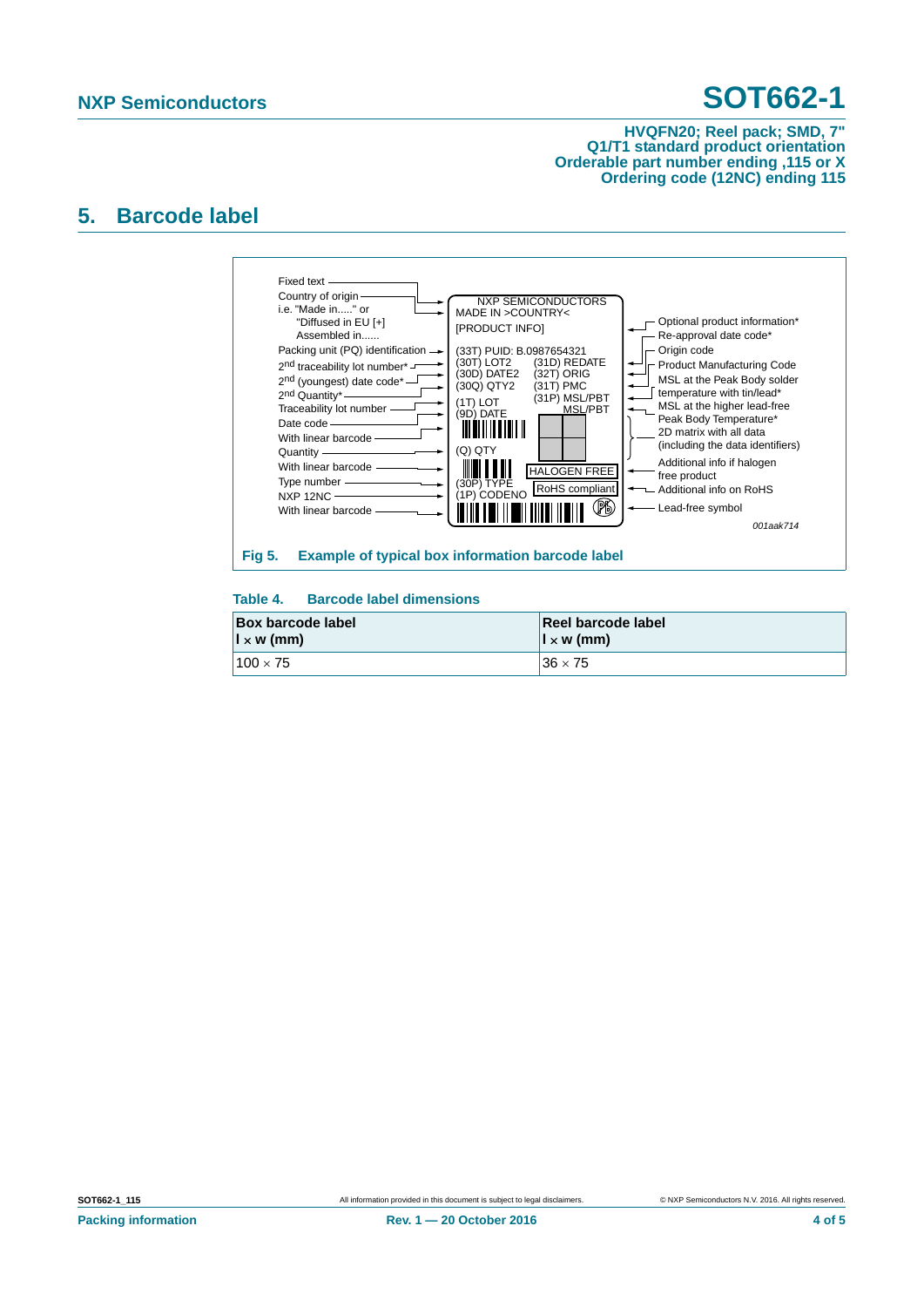#### **HVQFN20; Reel pack; SMD, 7" Q1/T1 standard product orientation Orderable part number ending ,115 or X Ordering code (12NC) ending 115**

### **5. Barcode label**



#### **Table 4. Barcode label dimensions**

| <b>Box barcode label</b> | Reel barcode label       |
|--------------------------|--------------------------|
| $\vert x \rangle$ w (mm) | $\vert x \rangle$ w (mm) |
| $100 \times 75$          | $36 \times 75$           |